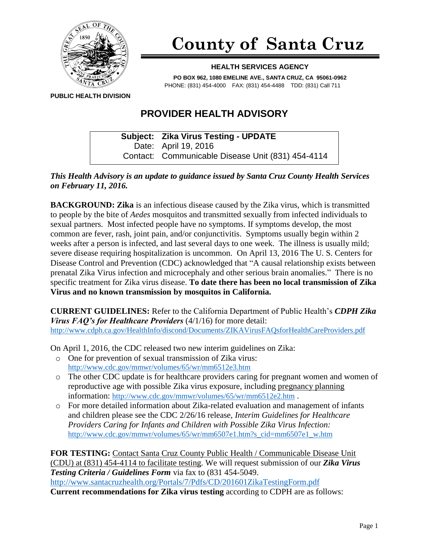

## **County of Santa Cruz**

## **HEALTH SERVICES AGENCY**

**PO BOX 962, 1080 EMELINE AVE., SANTA CRUZ, CA 95061-0962** PHONE: (831) 454-4000 FAX: (831) 454-4488 TDD: (831) Call 711

**PUBLIC HEALTH DIVISION**

## **PROVIDER HEALTH ADVISORY**

**Subject: Zika Virus Testing - UPDATE** Date: April 19, 2016 Contact: Communicable Disease Unit (831) 454-4114

*This Health Advisory is an update to guidance issued by Santa Cruz County Health Services on February 11, 2016.*

**BACKGROUND: Zika** is an infectious disease caused by the Zika virus, which is transmitted to people by the bite of *Aedes* mosquitos and transmitted sexually from infected individuals to sexual partners. Most infected people have no symptoms. If symptoms develop, the most common are fever, rash, joint pain, and/or conjunctivitis. Symptoms usually begin within 2 weeks after a person is infected, and last several days to one week. The illness is usually mild; severe disease requiring hospitalization is uncommon. On April 13, 2016 The U. S. Centers for Disease Control and Prevention (CDC) acknowledged that "A causal relationship exists between prenatal Zika Virus infection and microcephaly and other serious brain anomalies." There is no specific treatment for Zika virus disease. **To date there has been no local transmission of Zika Virus and no known transmission by mosquitos in California.**

**CURRENT GUIDELINES:** Refer to the California Department of Public Health's *CDPH Zika Virus FAQ's for Healthcare Providers* (4/1/16) for more detail: <http://www.cdph.ca.gov/HealthInfo/discond/Documents/ZIKAVirusFAQsforHealthCareProviders.pdf>

On April 1, 2016, the CDC released two new interim guidelines on Zika:

- o One for prevention of sexual transmission of Zika virus: <http://www.cdc.gov/mmwr/volumes/65/wr/mm6512e3.htm>
- o The other CDC update is for healthcare providers caring for pregnant women and women of reproductive age with possible Zika virus exposure, including pregnancy planning information: <http://www.cdc.gov/mmwr/volumes/65/wr/mm6512e2.htm> .
- o For more detailed information about Zika-related evaluation and management of infants and children please see the CDC 2/26/16 release, *Interim Guidelines for Healthcare Providers Caring for Infants and Children with Possible Zika Virus Infection:* [http://www.cdc.gov/mmwr/volumes/65/wr/mm6507e1.htm?s\\_cid=mm6507e1\\_w.htm](http://www.cdc.gov/mmwr/volumes/65/wr/mm6507e1.htm?s_cid=mm6507e1_w.htm)

**FOR TESTING:** Contact Santa Cruz County Public Health / Communicable Disease Unit (CDU) at (831) 454-4114 to facilitate testing. We will request submission of our *Zika Virus Testing Criteria / Guidelines Form* via fax to (831 454-5049. <http://www.santacruzhealth.org/Portals/7/Pdfs/CD/201601ZikaTestingForm.pdf> **Current recommendations for Zika virus testing** according to CDPH are as follows: